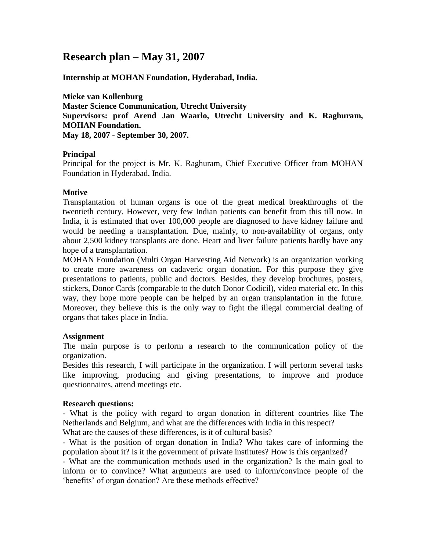# **Research plan – May 31, 2007**

**Internship at MOHAN Foundation, Hyderabad, India.**

**Mieke van Kollenburg Master Science Communication, Utrecht University Supervisors: prof Arend Jan Waarlo, Utrecht University and K. Raghuram, MOHAN Foundation. May 18, 2007 - September 30, 2007.** 

#### **Principal**

Principal for the project is Mr. K. Raghuram, Chief Executive Officer from MOHAN Foundation in Hyderabad, India.

## **Motive**

Transplantation of human organs is one of the great medical breakthroughs of the twentieth century. However, very few Indian patients can benefit from this till now. In India, it is estimated that over 100,000 people are diagnosed to have kidney failure and would be needing a transplantation. Due, mainly, to non-availability of organs, only about 2,500 kidney transplants are done. Heart and liver failure patients hardly have any hope of a transplantation.

MOHAN Foundation (Multi Organ Harvesting Aid Network) is an organization working to create more awareness on cadaveric organ donation. For this purpose they give presentations to patients, public and doctors. Besides, they develop brochures, posters, stickers, Donor Cards (comparable to the dutch Donor Codicil), video material etc. In this way, they hope more people can be helped by an organ transplantation in the future. Moreover, they believe this is the only way to fight the illegal commercial dealing of organs that takes place in India.

#### **Assignment**

The main purpose is to perform a research to the communication policy of the organization.

Besides this research, I will participate in the organization. I will perform several tasks like improving, producing and giving presentations, to improve and produce questionnaires, attend meetings etc.

## **Research questions:**

- What is the policy with regard to organ donation in different countries like The Netherlands and Belgium, and what are the differences with India in this respect? What are the causes of these differences, is it of cultural basis?

- What is the position of organ donation in India? Who takes care of informing the population about it? Is it the government of private institutes? How is this organized?

- What are the communication methods used in the organization? Is the main goal to inform or to convince? What arguments are used to inform/convince people of the 'benefits' of organ donation? Are these methods effective?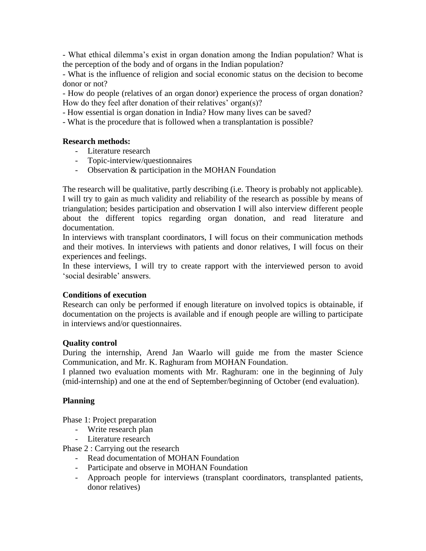- What ethical dilemma's exist in organ donation among the Indian population? What is the perception of the body and of organs in the Indian population?

- What is the influence of religion and social economic status on the decision to become donor or not?

- How do people (relatives of an organ donor) experience the process of organ donation? How do they feel after donation of their relatives' organ(s)?

- How essential is organ donation in India? How many lives can be saved?

- What is the procedure that is followed when a transplantation is possible?

#### **Research methods:**

- Literature research
- Topic-interview/questionnaires
- Observation & participation in the MOHAN Foundation

The research will be qualitative, partly describing (i.e. Theory is probably not applicable). I will try to gain as much validity and reliability of the research as possible by means of triangulation; besides participation and observation I will also interview different people about the different topics regarding organ donation, and read literature and documentation.

In interviews with transplant coordinators, I will focus on their communication methods and their motives. In interviews with patients and donor relatives, I will focus on their experiences and feelings.

In these interviews, I will try to create rapport with the interviewed person to avoid 'social desirable' answers.

## **Conditions of execution**

Research can only be performed if enough literature on involved topics is obtainable, if documentation on the projects is available and if enough people are willing to participate in interviews and/or questionnaires.

## **Quality control**

During the internship, Arend Jan Waarlo will guide me from the master Science Communication, and Mr. K. Raghuram from MOHAN Foundation.

I planned two evaluation moments with Mr. Raghuram: one in the beginning of July (mid-internship) and one at the end of September/beginning of October (end evaluation).

## **Planning**

Phase 1: Project preparation

- Write research plan
- Literature research

Phase 2 : Carrying out the research

- Read documentation of MOHAN Foundation
- Participate and observe in MOHAN Foundation
- Approach people for interviews (transplant coordinators, transplanted patients, donor relatives)